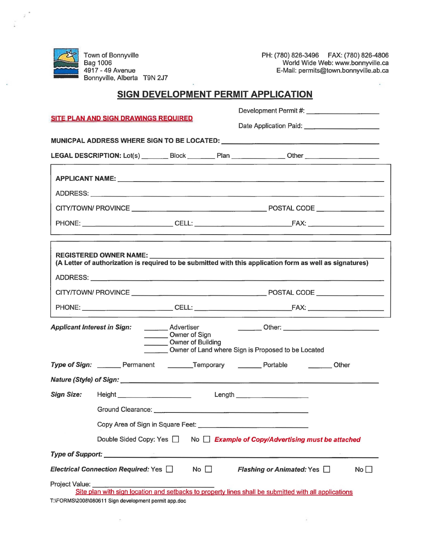

Town of Bonnyville Bag 1006 4917 - 49 Avenue Bonnyville, Alberta T9N 2J7

 $\bar{\sigma}$ 

PH: (780) 826-3496 FAX: (780) 826-4806 World Wide Web: www.bonnyville.ca E-Mail: permits@town.bonnyville.ab.ca

 $\mathcal{L}$ 

 $\mathbf{r}$ 

## **SIGN DEVELOPMENT PERMIT APPLICATION**

| <b>SITE PLAN AND SIGN DRAWINGS REQUIRED</b>                                                                                                                  |                   |                                                                                      |                                | Date Application Paid: Date Application Paid:                                                            |  |  |  |  |
|--------------------------------------------------------------------------------------------------------------------------------------------------------------|-------------------|--------------------------------------------------------------------------------------|--------------------------------|----------------------------------------------------------------------------------------------------------|--|--|--|--|
|                                                                                                                                                              |                   |                                                                                      |                                |                                                                                                          |  |  |  |  |
|                                                                                                                                                              |                   |                                                                                      |                                | LEGAL DESCRIPTION: Lot(s) _________ Block _________ Plan _______________0ther _____________________      |  |  |  |  |
|                                                                                                                                                              |                   |                                                                                      |                                |                                                                                                          |  |  |  |  |
|                                                                                                                                                              |                   |                                                                                      |                                |                                                                                                          |  |  |  |  |
| ADDRESS: ADDRESS:                                                                                                                                            |                   |                                                                                      |                                |                                                                                                          |  |  |  |  |
|                                                                                                                                                              |                   |                                                                                      |                                |                                                                                                          |  |  |  |  |
|                                                                                                                                                              |                   |                                                                                      |                                |                                                                                                          |  |  |  |  |
|                                                                                                                                                              |                   |                                                                                      |                                |                                                                                                          |  |  |  |  |
|                                                                                                                                                              |                   | <b>REGISTERED OWNER NAME:</b>                                                        |                                | (A Letter of authorization is required to be submitted with this application form as well as signatures) |  |  |  |  |
|                                                                                                                                                              |                   |                                                                                      |                                |                                                                                                          |  |  |  |  |
|                                                                                                                                                              | ADDRESS: ADDRESS: |                                                                                      |                                |                                                                                                          |  |  |  |  |
|                                                                                                                                                              |                   |                                                                                      |                                |                                                                                                          |  |  |  |  |
|                                                                                                                                                              |                   |                                                                                      |                                |                                                                                                          |  |  |  |  |
| <b>Applicant Interest in Sign:</b>                                                                                                                           |                   | <b>Advertiser</b><br>Owner of Sign                                                   |                                |                                                                                                          |  |  |  |  |
|                                                                                                                                                              |                   | Owner of Building                                                                    |                                |                                                                                                          |  |  |  |  |
|                                                                                                                                                              |                   | Owner of Land where Sign is Proposed to be Located                                   |                                |                                                                                                          |  |  |  |  |
|                                                                                                                                                              |                   | Type of Sign: ________ Permanent ________Temporary ________ Portable _________ Other |                                |                                                                                                          |  |  |  |  |
|                                                                                                                                                              |                   |                                                                                      |                                |                                                                                                          |  |  |  |  |
|                                                                                                                                                              |                   |                                                                                      | Length _______________________ |                                                                                                          |  |  |  |  |
|                                                                                                                                                              |                   |                                                                                      |                                |                                                                                                          |  |  |  |  |
|                                                                                                                                                              |                   |                                                                                      |                                |                                                                                                          |  |  |  |  |
|                                                                                                                                                              |                   |                                                                                      |                                | Double Sided Copy: Yes □ No □ Example of Copy/Advertising must be attached                               |  |  |  |  |
|                                                                                                                                                              |                   |                                                                                      |                                |                                                                                                          |  |  |  |  |
| Electrical Connection Required: Yes $\Box$<br>Flashing or Animated: Yes<br>No <sub>1</sub><br>$No$ $\Box$                                                    |                   |                                                                                      |                                |                                                                                                          |  |  |  |  |
| Project Value: _______                                                                                                                                       |                   |                                                                                      |                                |                                                                                                          |  |  |  |  |
| Site plan with sign location and setbacks to property lines shall be submitted with all applications<br>T:\FORMS\2008\080611 Sign development permit app.doc |                   |                                                                                      |                                |                                                                                                          |  |  |  |  |